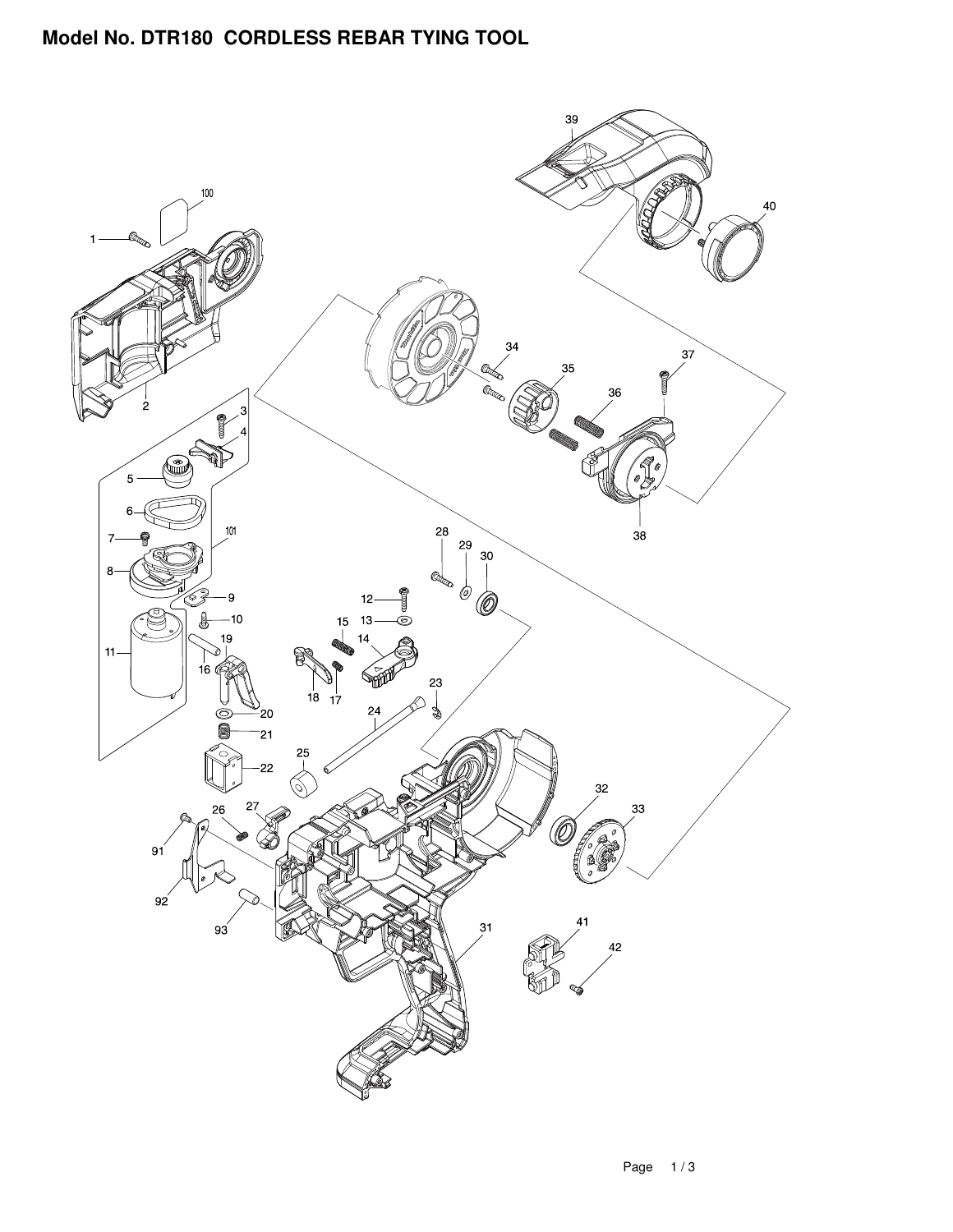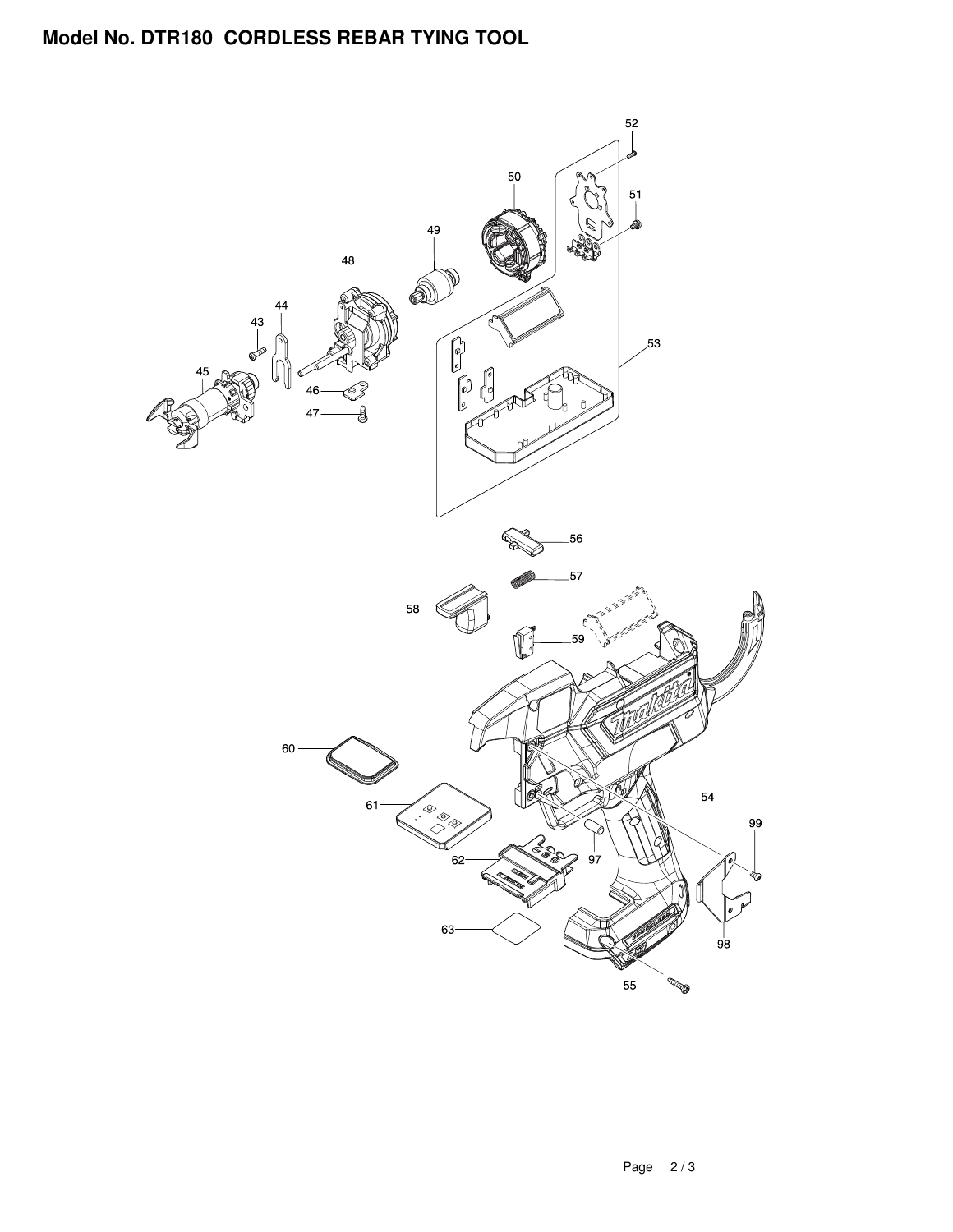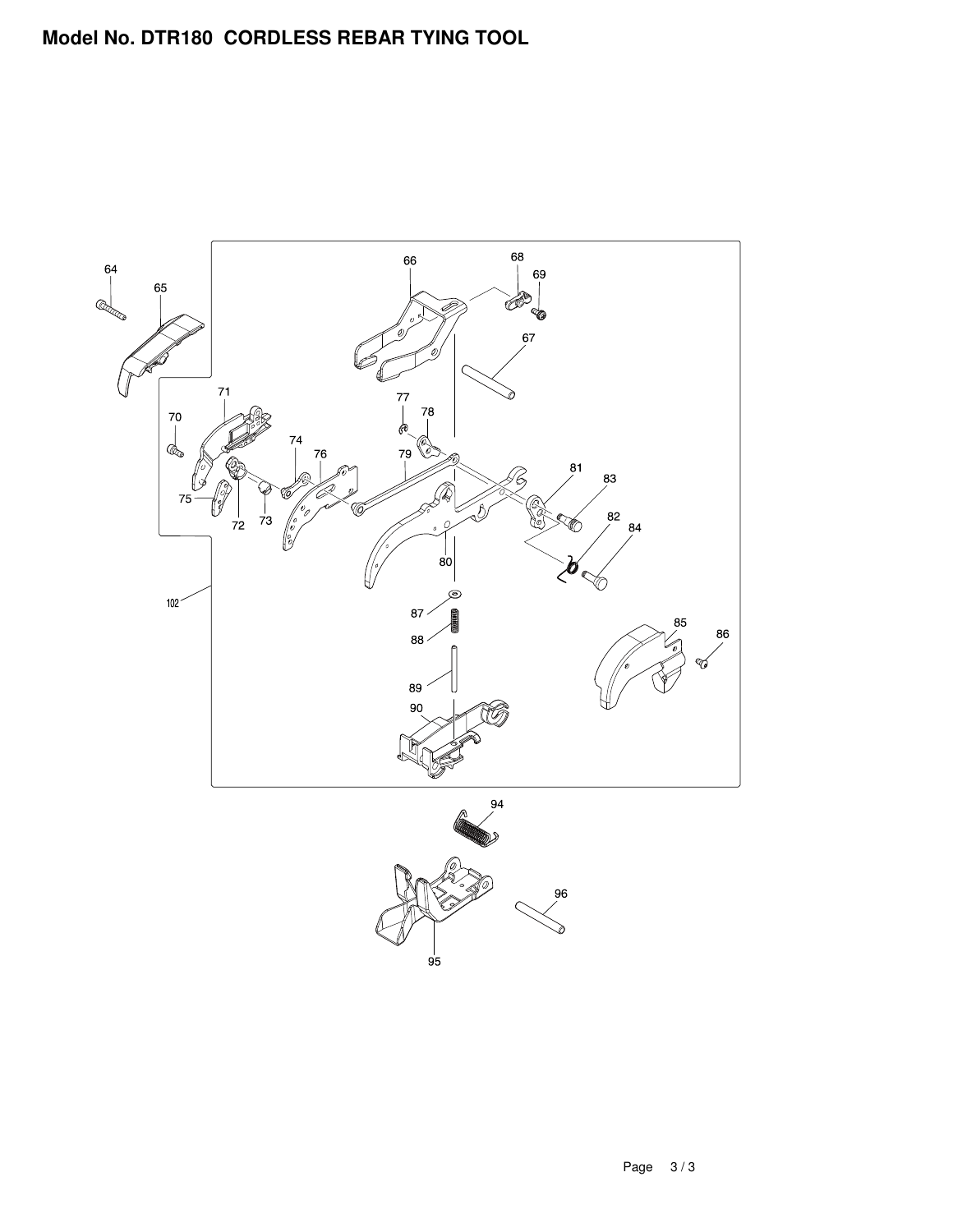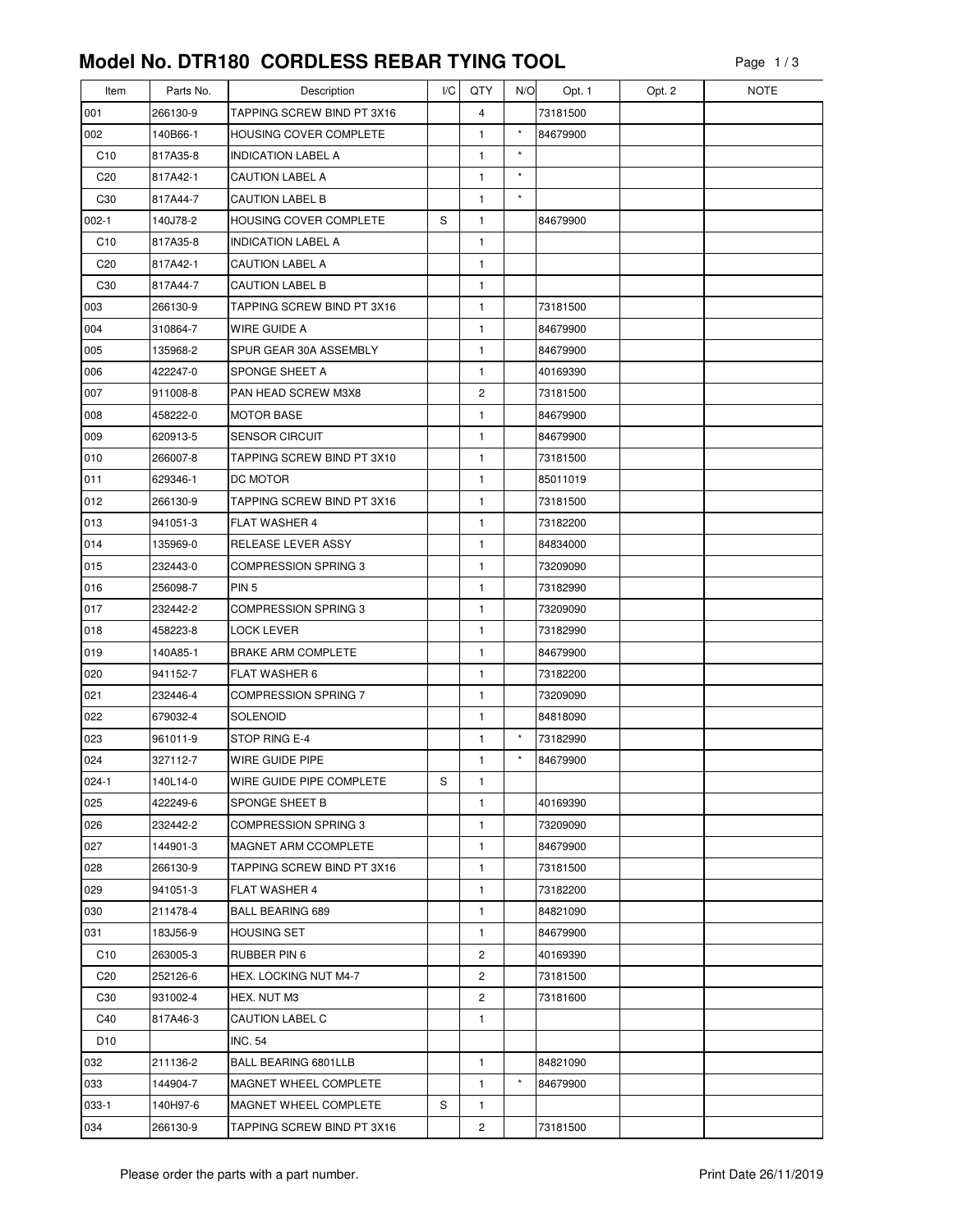| Item            | Parts No. | Description                   | I/C | QTY            | N/O      | Opt. 1   | Opt. 2 | <b>NOTE</b> |
|-----------------|-----------|-------------------------------|-----|----------------|----------|----------|--------|-------------|
| 001             | 266130-9  | TAPPING SCREW BIND PT 3X16    |     | $\overline{4}$ |          | 73181500 |        |             |
| 002             | 140B66-1  | <b>HOUSING COVER COMPLETE</b> |     | 1              | $\star$  | 84679900 |        |             |
| C10             | 817A35-8  | <b>INDICATION LABEL A</b>     |     | 1              | $^\star$ |          |        |             |
| C <sub>20</sub> | 817A42-1  | <b>CAUTION LABEL A</b>        |     | 1              | $\star$  |          |        |             |
| C <sub>30</sub> | 817A44-7  | <b>CAUTION LABEL B</b>        |     | $\mathbf{1}$   | $\star$  |          |        |             |
| $002 - 1$       | 140J78-2  | HOUSING COVER COMPLETE        | S   | 1              |          | 84679900 |        |             |
| C <sub>10</sub> | 817A35-8  | <b>INDICATION LABEL A</b>     |     | 1              |          |          |        |             |
| C <sub>20</sub> | 817A42-1  | CAUTION LABEL A               |     | 1              |          |          |        |             |
| C30             | 817A44-7  | <b>CAUTION LABEL B</b>        |     | 1              |          |          |        |             |
| 003             | 266130-9  | TAPPING SCREW BIND PT 3X16    |     | 1              |          | 73181500 |        |             |
| 004             | 310864-7  | WIRE GUIDE A                  |     | 1              |          | 84679900 |        |             |
| 005             | 135968-2  | SPUR GEAR 30A ASSEMBLY        |     | 1              |          | 84679900 |        |             |
| 006             | 422247-0  | <b>SPONGE SHEET A</b>         |     | 1              |          | 40169390 |        |             |
| 007             | 911008-8  | PAN HEAD SCREW M3X8           |     | 2              |          | 73181500 |        |             |
| 008             | 458222-0  | <b>MOTOR BASE</b>             |     | 1              |          | 84679900 |        |             |
| 009             | 620913-5  | <b>SENSOR CIRCUIT</b>         |     | 1              |          | 84679900 |        |             |
| 010             | 266007-8  | TAPPING SCREW BIND PT 3X10    |     | 1              |          | 73181500 |        |             |
| 011             | 629346-1  | DC MOTOR                      |     | 1              |          | 85011019 |        |             |
| 012             | 266130-9  | TAPPING SCREW BIND PT 3X16    |     | 1              |          | 73181500 |        |             |
| 013             | 941051-3  | FLAT WASHER 4                 |     | 1              |          | 73182200 |        |             |
| 014             | 135969-0  | RELEASE LEVER ASSY            |     | 1              |          | 84834000 |        |             |
| 015             | 232443-0  | COMPRESSION SPRING 3          |     | $\mathbf{1}$   |          | 73209090 |        |             |
| 016             | 256098-7  | PIN <sub>5</sub>              |     | 1              |          | 73182990 |        |             |
| 017             | 232442-2  | COMPRESSION SPRING 3          |     | 1              |          | 73209090 |        |             |
| 018             | 458223-8  | LOCK LEVER                    |     | 1              |          | 73182990 |        |             |
| 019             | 140A85-1  | <b>BRAKE ARM COMPLETE</b>     |     | 1              |          | 84679900 |        |             |
| 020             | 941152-7  | <b>FLAT WASHER 6</b>          |     | 1              |          | 73182200 |        |             |
| 021             | 232446-4  | <b>COMPRESSION SPRING 7</b>   |     | 1              |          | 73209090 |        |             |
| 022             | 679032-4  | <b>SOLENOID</b>               |     | 1              |          | 84818090 |        |             |
| 023             | 961011-9  | STOP RING E-4                 |     | 1              | $\star$  | 73182990 |        |             |
| 024             | 327112-7  | WIRE GUIDE PIPE               |     | 1              | $\star$  | 84679900 |        |             |
| $024-1$         | 140L14-0  | WIRE GUIDE PIPE COMPLETE      | S   | 1              |          |          |        |             |
| 025             | 422249-6  | <b>SPONGE SHEET B</b>         |     | 1              |          | 40169390 |        |             |
| 026             | 232442-2  | <b>COMPRESSION SPRING 3</b>   |     | 1              |          | 73209090 |        |             |
| 027             | 144901-3  | MAGNET ARM CCOMPLETE          |     | 1              |          | 84679900 |        |             |
| 028             | 266130-9  | TAPPING SCREW BIND PT 3X16    |     | 1              |          | 73181500 |        |             |
| 029             | 941051-3  | <b>FLAT WASHER 4</b>          |     | 1              |          | 73182200 |        |             |
| 030             | 211478-4  | <b>BALL BEARING 689</b>       |     | 1              |          | 84821090 |        |             |
| 031             | 183J56-9  | HOUSING SET                   |     | 1              |          | 84679900 |        |             |
| C10             | 263005-3  | RUBBER PIN 6                  |     | 2              |          | 40169390 |        |             |
| C <sub>20</sub> | 252126-6  | HEX. LOCKING NUT M4-7         |     | 2              |          | 73181500 |        |             |
| C <sub>30</sub> | 931002-4  | HEX. NUT M3                   |     | 2              |          | 73181600 |        |             |
| C40             | 817A46-3  | CAUTION LABEL C               |     | 1              |          |          |        |             |
| D <sub>10</sub> |           | <b>INC. 54</b>                |     |                |          |          |        |             |
| 032             | 211136-2  | BALL BEARING 6801LLB          |     | $\mathbf{1}$   |          | 84821090 |        |             |
| 033             | 144904-7  | MAGNET WHEEL COMPLETE         |     | 1              | $\star$  | 84679900 |        |             |
| 033-1           | 140H97-6  | MAGNET WHEEL COMPLETE         | S   | 1              |          |          |        |             |
| 034             | 266130-9  | TAPPING SCREW BIND PT 3X16    |     | 2              |          | 73181500 |        |             |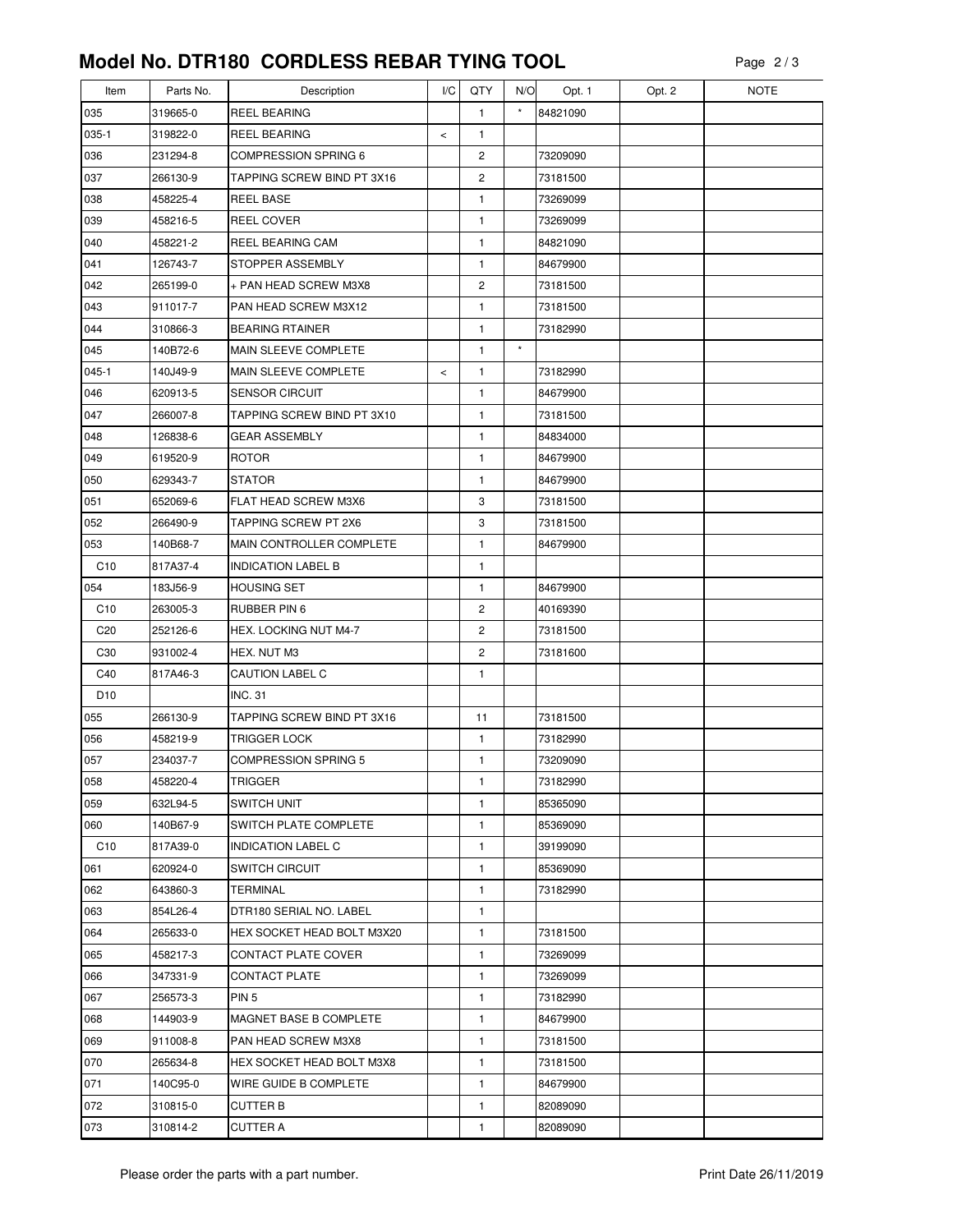| Item            | Parts No. | Description                 | I/C   | QTY            | N/O      | Opt. 1   | Opt. 2 | <b>NOTE</b> |
|-----------------|-----------|-----------------------------|-------|----------------|----------|----------|--------|-------------|
| 035             | 319665-0  | <b>REEL BEARING</b>         |       | 1              | $^\star$ | 84821090 |        |             |
| 035-1           | 319822-0  | <b>REEL BEARING</b>         | $\,<$ | 1              |          |          |        |             |
| 036             | 231294-8  | <b>COMPRESSION SPRING 6</b> |       | $\overline{c}$ |          | 73209090 |        |             |
| 037             | 266130-9  | TAPPING SCREW BIND PT 3X16  |       | 2              |          | 73181500 |        |             |
| 038             | 458225-4  | <b>REEL BASE</b>            |       | 1              |          | 73269099 |        |             |
| 039             | 458216-5  | REEL COVER                  |       | $\mathbf{1}$   |          | 73269099 |        |             |
| 040             | 458221-2  | <b>REEL BEARING CAM</b>     |       | 1              |          | 84821090 |        |             |
| 041             | 126743-7  | STOPPER ASSEMBLY            |       | 1              |          | 84679900 |        |             |
| 042             | 265199-0  | + PAN HEAD SCREW M3X8       |       | 2              |          | 73181500 |        |             |
| 043             | 911017-7  | PAN HEAD SCREW M3X12        |       | 1              |          | 73181500 |        |             |
| 044             | 310866-3  | <b>BEARING RTAINER</b>      |       | 1              |          | 73182990 |        |             |
| 045             | 140B72-6  | MAIN SLEEVE COMPLETE        |       | $\mathbf{1}$   | $\star$  |          |        |             |
| $045-1$         | 140J49-9  | MAIN SLEEVE COMPLETE        | $\,<$ | 1              |          | 73182990 |        |             |
| 046             | 620913-5  | <b>SENSOR CIRCUIT</b>       |       | 1              |          | 84679900 |        |             |
| 047             | 266007-8  | TAPPING SCREW BIND PT 3X10  |       | 1              |          | 73181500 |        |             |
| 048             | 126838-6  | <b>GEAR ASSEMBLY</b>        |       | 1              |          | 84834000 |        |             |
| 049             | 619520-9  | <b>ROTOR</b>                |       | 1              |          | 84679900 |        |             |
| 050             | 629343-7  | <b>STATOR</b>               |       | 1              |          | 84679900 |        |             |
| 051             | 652069-6  | FLAT HEAD SCREW M3X6        |       | 3              |          | 73181500 |        |             |
| 052             | 266490-9  | TAPPING SCREW PT 2X6        |       | 3              |          | 73181500 |        |             |
| 053             | 140B68-7  | MAIN CONTROLLER COMPLETE    |       | 1              |          | 84679900 |        |             |
| C <sub>10</sub> | 817A37-4  | <b>INDICATION LABEL B</b>   |       | 1              |          |          |        |             |
| 054             | 183J56-9  | <b>HOUSING SET</b>          |       | 1              |          | 84679900 |        |             |
| C10             | 263005-3  | RUBBER PIN 6                |       | 2              |          | 40169390 |        |             |
| C <sub>20</sub> | 252126-6  | HEX. LOCKING NUT M4-7       |       | 2              |          | 73181500 |        |             |
| C30             | 931002-4  | HEX. NUT M3                 |       | 2              |          | 73181600 |        |             |
| C40             | 817A46-3  | CAUTION LABEL C             |       | 1              |          |          |        |             |
| D <sub>10</sub> |           | <b>INC. 31</b>              |       |                |          |          |        |             |
| 055             | 266130-9  | TAPPING SCREW BIND PT 3X16  |       | 11             |          | 73181500 |        |             |
| 056             | 458219-9  | <b>TRIGGER LOCK</b>         |       | 1              |          | 73182990 |        |             |
| 057             | 234037-7  | <b>COMPRESSION SPRING 5</b> |       | 1              |          | 73209090 |        |             |
| 058             | 458220-4  | <b>TRIGGER</b>              |       | 1              |          | 73182990 |        |             |
| 059             | 632L94-5  | <b>SWITCH UNIT</b>          |       | 1              |          | 85365090 |        |             |
| 060             | 140B67-9  | SWITCH PLATE COMPLETE       |       | 1              |          | 85369090 |        |             |
| C10             | 817A39-0  | <b>INDICATION LABEL C</b>   |       | 1              |          | 39199090 |        |             |
| 061             | 620924-0  | <b>SWITCH CIRCUIT</b>       |       | 1              |          | 85369090 |        |             |
| 062             | 643860-3  | TERMINAL                    |       | 1              |          | 73182990 |        |             |
| 063             | 854L26-4  | DTR180 SERIAL NO. LABEL     |       | 1              |          |          |        |             |
| 064             | 265633-0  | HEX SOCKET HEAD BOLT M3X20  |       | 1              |          | 73181500 |        |             |
| 065             | 458217-3  | CONTACT PLATE COVER         |       | 1              |          | 73269099 |        |             |
| 066             | 347331-9  | <b>CONTACT PLATE</b>        |       | 1              |          | 73269099 |        |             |
| 067             | 256573-3  | PIN <sub>5</sub>            |       | 1              |          | 73182990 |        |             |
| 068             | 144903-9  | MAGNET BASE B COMPLETE      |       | 1              |          | 84679900 |        |             |
| 069             | 911008-8  | PAN HEAD SCREW M3X8         |       | 1              |          | 73181500 |        |             |
| 070             | 265634-8  | HEX SOCKET HEAD BOLT M3X8   |       | 1              |          | 73181500 |        |             |
| 071             | 140C95-0  | WIRE GUIDE B COMPLETE       |       | 1              |          | 84679900 |        |             |
| 072             | 310815-0  | <b>CUTTER B</b>             |       | 1              |          | 82089090 |        |             |
| 073             | 310814-2  | <b>CUTTER A</b>             |       | 1              |          | 82089090 |        |             |